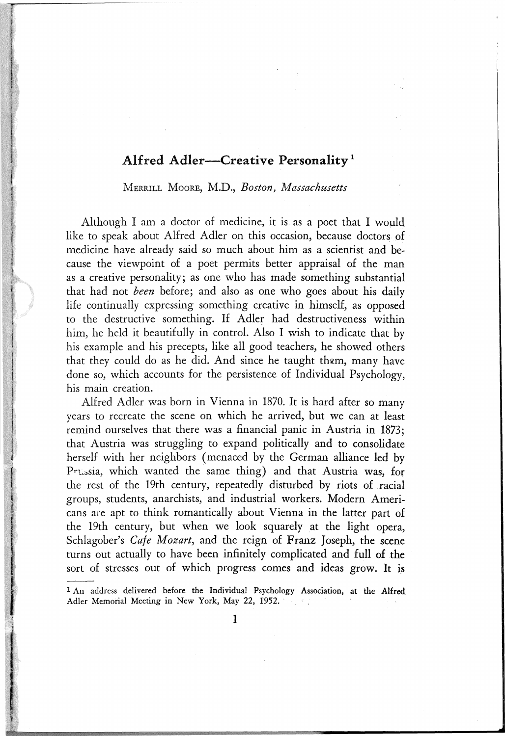## Alfred Adler-Creative Personality<sup>1</sup>

MERRILL MOORE, M.D., *Boston*, *Massachusetts* 

Although I am a doctor of medicine, it is as a poet that I would like to speak about Alfred Adler on this occasion, because doctors of medicine have already said so much about him as a scientist and because the viewpoint of a poet permits better appraisal of the man as a creative personality; as one who has made something substantial that had not *been* before; and also as one who goes about his daily life continually expressing something creative in himself, as opposed to the destructive something. If Adler had destructiveness within him, he held it beautifully in control. Also I wish to indicate that by his example and his precepts, like all good teachers, he showed others that they could do as he did. And since he taught them, many have done *so,* which accounts for the persistence of Individual Psychology, his main creation.

Alfred Adler was born in Vienna in 1870. It is hard after so many years to recreate the scene on which he arrived, but we can at least remind ourselves that there was a financial panic in Austria in 1873; that Austria was struggling to expand politically and to consolidate herself with her neighbors (menaced by the German alliance led by Prussia, which wanted the same thing) and that Austria was, for the rest of the 19th century, repeatedly disturbed by riots of racial groups, students, anarchists, and industrial workers. Modern Americans are apt to think romantically about Vienna in the latter part of the 19th century, but when we look squarely at the light opera, Schlagober's *Cafe Mozart,* and the reign of Franz Joseph, the scene turns out actually to have been infinitely complicated and full of the sort of stresses out of which progress comes and ideas grow. It is

<sup>1</sup> An address delivered before the Individual Psychology Association, at the Alfred Adler Memorial Meeting in New York, May 22, 1952.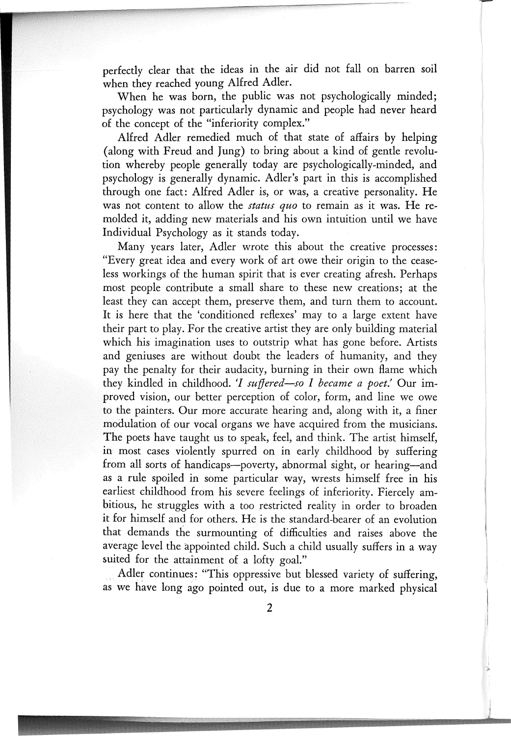perfectly clear that the ideas in the air did not fall on barren soil when they reached young Alfred Adler.

When he was born, the public was not psychologically minded; psychology was not particularly dynamic and people had never heard of the concept of the "inferiority complex."

Alfred Adler remedied much of that state of affairs by helping (along with Freud and Jung) to bring about a kind of gentle revolution whereby people generally today are psychologically-minded, and psychology is generally dynamic. Adler's part in this is accomplished through one fact: Alfred Adler is, or was, a creative personality. He was not content to allow the *status quo* to remain as it was. He remolded it, adding new· materials and his own intuition until we have Individual Psychology as it stands today.

Many years later, Adler wrote this about the creative processes: "Every great idea and every work of art owe their origin to the ceaseless workings of the human spirit that is ever creating afresh. Perhaps most people contribute a small share to these new creations; at the least they can accept them, preserve them, and turn them to account. It is here that the 'conditioned reflexes' may to a large extent have their part to play. For the creative artist they are only building material which his imagination uses to outstrip what has gone before. Artists and geniuses are without doubt the leaders of humanity, and they pay the penalty for their audacity, burning in their own flame which they kindled in childhood. (] *suffered-so I became a poet.'* Our improved vision, our better perception of color, form, and line we owe to the painters. Our more accurate hearing and, along with it, a finer modulation of our vocal organs we have acquired from the musicians. The poets have taught us to speak, feel, and think. The artist himself, in most cases violently spurred on in early childhood by suffering from all sorts of handicaps-poverty, abnormal sight, or hearing-and as a rule spoiled in some particular way, wrests himself free in his earliest childhood from his severe feelings of inferiority. Fiercely ambitious, he struggles with a too restricted reality in order to broaden it for himself and for others. He is the standard-bearer of an evolution that demands the surmounting of difficulties and raises above the average level the appointed child. Such a child usually suffers in a way suited for the attainment of a lofty goal."

Adler continues; "This oppressive but blessed variety of suffering, as we have long ago pointed out, is due to a more marked physical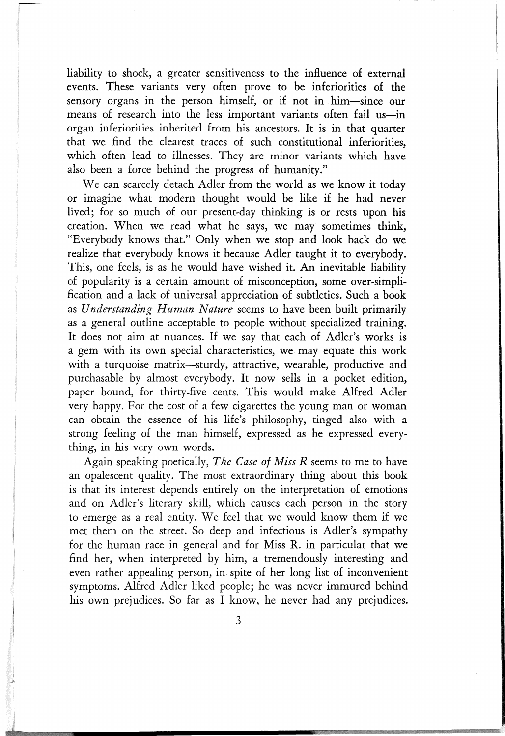liability to shock, a greater sensitiveness to the influence of external events. These variants very often prove to be inferiorities of the sensory organs in the person himself, or if not in him-since our means of research into the less important variants often fail us-in organ inferiorities inherited from his ancestors. It is in that quarter that we find the clearest traces of such constitutional inferiorities, which often lead to illnesses. They are minor variants which have also been a force behind the progress of humanity."

We can scarcely detach Adler from the world as we know it today or imagine what modern thought would be like if he had never lived; for so much of our present-day thinking is or rests upon his creation. When we read what he says, we may sometimes think, "Everybody knows that." Only when we stop and look back do we realize that everybody knows it because Adler taught it to everybody. This, one feels, is as he would have wished it. An inevitable liability of popularity is a certain amount of misconception, some over-simplification and a lack of universal appreciation of subtleties. Such. a book as *Understanding Human Nature* seems to have been built primarily as a general outline acceptable to people without specialized training. It does not aim at nuances. If we say that each of Adler's works is a gem with its own special characteristics, we may equate this work with a turquoise matrix-sturdy, attractive, wearable, productive and purchasable by almost everybody. It now sells in a pocket edition, paper bound, for thirty-five cents. This would make Alfred Adler very happy. For the cost of a few cigarettes the young man or woman can obtain the essence of his life's philosophy, tinged also with a strong feeling of the man himself, expressed as he expressed everything, in his very own words.

Again speaking poetically, *The Case of Miss R* seems to me to have an opalescent quality. The most extraordinary thing about this book is that its interest depends entirely on the interpretation of emotions and on Adler's literary skill, which causes each person in the story to emerge as a real entity. We feel that we would know them if we met them on the street. So deep and infectious is Adler's sympathy for the human race in general and for Miss R. in particular that we find her, when interpreted by him, a tremendously interesting and even rather appealing person, in spite of her long list of inconvenient symptoms. Alfred Adler liked people; he was never immured behind his own prejudices. So far as I know, he never had any prejudices.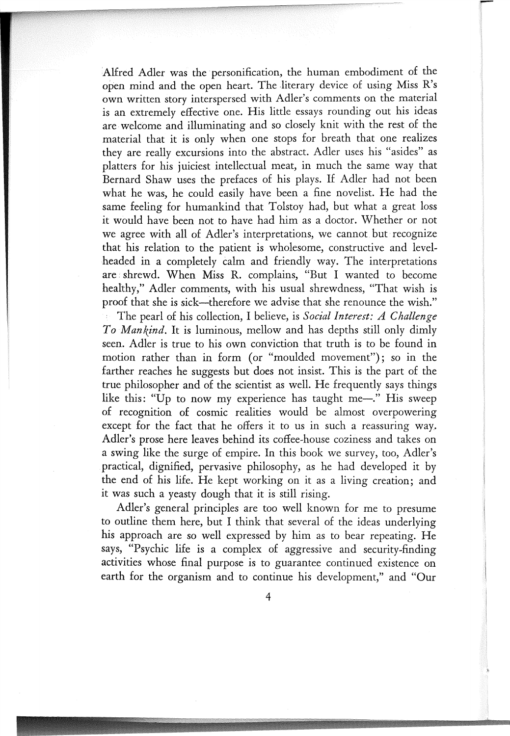Alfred Adler was the personification, the human embodiment of the open mind and the open heart. The literary device of using Miss R's own written story interspersed with Adler's comments on the material is an extremely effective one. His little essays rounding out his ideas are welcome and illuminating and so closely knit with the rest of the material that it is only when one stops for breath that one realizes they are really excursions into the abstract. Adler uses his "asides" as platters for his juiciest intellectual meat, in much the same way that Bernard Shaw uses the prefaces of his plays. If Adler had not been what he was, he could easily have been a fine novelist. He had the same feeling for humankind that Tolstoy had, but what a great loss it would have been not to have had him as a doctor. Whether or not we agree with all of Adler's interpretations, we cannot but· recognize that his relation to the patient is wholesome, constructive and level headed in a completely calm and friendly way. The interpretations are. shrewd. When Miss R. complains, "But I wanted to become healthy," Adler comments, with his usual shrewdness, "That wish is proof that she is sick-therefore we advise that she renounce the wish."

The pearl of his collection, I believe, is *Social Interest: A Challenge To Mankind.* It is luminous, mellow and has depths still only dimly seen. Adler is true to his own conviction that truth is to be found in motion rather than in form (or "moulded movement"); so in the farther reaches he suggests but does not insist. This is the part of the true philosopher and of the scientist as well. He frequently says things like this: "Up to now my experience has taught me-". His sweep of recognition of cosmic realities would be almost overpowering except for the fact that he offers it to us in such a reassuring way. Adler's prose here leaves behind its coffee-house coziness and takes on a swing like the surge of empire. In this book we survey, too, Adler's practical, dignified, pervasive philosophy, as he had developed it by the end of his life. He kept working on it as a living creation; and it was such a yeasty dough that it is still rising.

Adler's general principles are too well known for me to presume to outline them here, but I think that several of the ideas underlying his approach are so well expressed by him as to bear repeating. He says, "Psychic life is a complex of aggressive and security-finding activities whose final purpose is to guarantee continued existence on earth for the organism and to continue his development," and "Our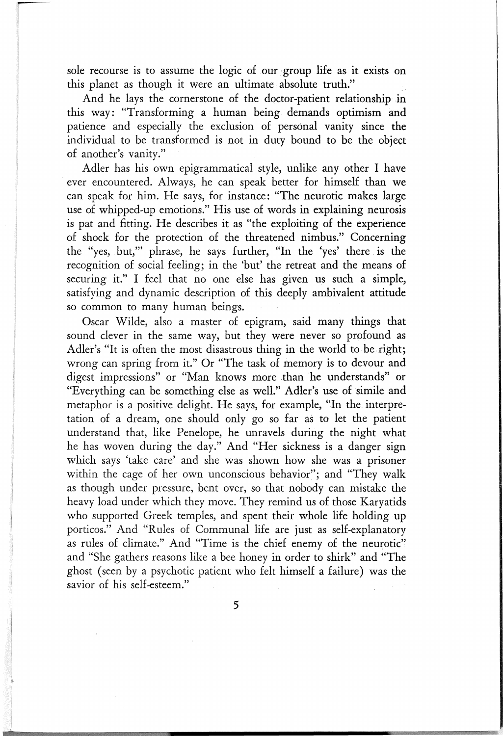sole recourse is to assume the logic of our group life as it exists on this planet as though it were an ultimate absolute truth."

And he lays the cornerstone of the doctor-patient relationship in this way: "Transforming a human being demands optimism and patience and especially the exclusion of personal vanity since the individual to be transformed is not in duty bound to be the object of another's vanity."

Adler has his own epigrammatical style, unlike any other I have ever encountered. Always, he can speak better for himself than we can speak for him. He says, for instance: "The neurotic makes large use of whipped-up emotions." His use of words in explaining neurosis is pat and fitting. He describes it as "the exploiting of the experience of shock for the protection of the threatened nimbus." Concerning the "yes, but,'" phrase, he says further, "In the 'yes' there is the recognition of social feeling; in the 'but' the retreat and the means of securing it." I feel that no one else has given us such a simple, satisfying and dynamic description of this deeply ambivalent attitude so common to many human beings.

Oscar Wilde, also a master of epigram, said many things that sound clever in the same way, but they were never so profound as Adler's "It is often the most disastrous thing in the world to be right; wrong can spring from it." Or "The task of memory is to devour and digest impressions" or "Man knows more than he understands" or "Everything can be something else as well." Adler's use of 'simile and metaphor is a positive delight. He says, for example, "In the interpretation of a dream, one should only go so far as to let the patient understand that, like Penelope, he unravels during the night what he has woven during the day." And "Her sickness is a danger sign which says 'take care' and she was shown how she was a prisoner within the cage of her own unconscious behavior"; and "They walk as though under pressure, bent over, so that nobody can mistake the heavy load under which they move. They remind us of those Karyatids who supported Greek temples, and spent their whole life holding up porticos." And "Rules of Communal life are just as self-explanatory as rules of climate." And "Time is the chief enemy of the neurotic" and "She gathers reasons like a bee honey in order to shirk" and "The ghost (seen by a psychotic patient who felt himself a failure) was the savior of his self-esteem."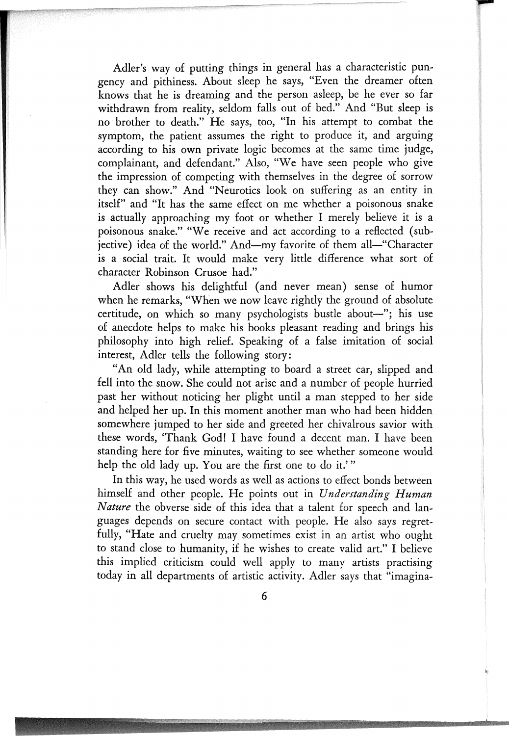Adler's way of putting things in general has a characteristic pungency and pithiness. About sleep he says, "Even the dreamer often knows that he is dreaming and· the person asleep, be he ever so far withdrawn from reality, seldom falls out of bed." And "But sleep is no· brother to death." He says, too, "In his attempt to combat the symptom, the patient assumes the right to produce it, and arguing according to his own private logic becomes at the same time judge, complainant, and defendant." Also, "We have seen people who give the impression of competing with themselves in the degree of sorrow they can show." And "Neurotics look on suffering as an entity in itself" and "It has the same effect on me whether a poisonous snake is actually approaching my foot or whether I merely believe it is a poisonous snake." "We receive and act according to a reflected (subjective) idea of the world." And-my favorite of them all-"Character is a social trait. It would make very little difference what sort of character Robinson Crusoe had."

Adler shows his delightful (and never mean) sense of humor when he remarks, "When we now leave rightly the ground of absolute certitude, on which so many psychologists bustle about-"; his use of anecdote helps to make his books pleasant reading and brings his philosophy into high relief. Speaking of a false imitation of social interest, Adler tells the following story:

"An old lady, while attempting to board a street car, slipped and fell into the snow. She could not arise and a number of people hurried past her without noticing her plight until a man stepped to her side and helped her up. In this moment another man who had been hidden somewhere jumped to her side and greeted her chivalrous savior with these words, 'Thank God! I have found a decent man. I have been standing here for five minutes, waiting to see whether someone would help the old lady up. You are the first one to do it.'"

In this way, he used words as well as actions to effect bonds between himself and other people. He points out in *Understanding Human Nature* the obverse side of this idea that a talent for speech and languages depends on secure contact with people. He also says regretfully, "Hate and cruelty may sometimes exist in an artist who ought to stand close to humanity, if he wishes to create valid art." I believe this implied criticism could well apply to many artists practising today in all departments of artistic activity. Adler says that "imagina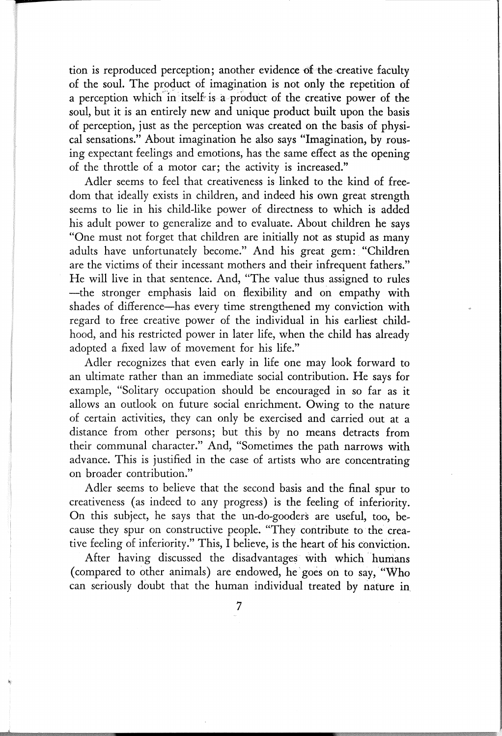tion is reproduced perception; another evidence of the creative faculty of the soul. The product of imagination is not only the repetition of a perception which in itself is a product of the creative power of the soul, but it is an entirely new and unique product built upon the basis of perception, just as the perception was created on the basis of physical sensations." About imagination he also says "Imagination, by rousing expectant feelings and emotions, has the same effect as the opening of the throttle of a motor car; the activity is increased."

Adler seems to feel that creativeness is linked to the kind of freedom that ideally exists in children, and indeed his own great strength seems to lie in his child-like power of directness to which is added his adult power to generalize and to evaluate. About children he says "One must not forget that children are initially not as stupid as many adults have unfortunately become." And his great gem: "Children are the victims of their incessant mothers and their infrequent fathers." He will live in that sentence. And, "The value thus assigned to rules -the stronger emphasis laid on. flexibility and on empathy with shades of difference-has every time strengthened my conviction with regard to free creative power of the individual in his earliest childhood, and his restricted power in later life, when the child has already adopted a fixed law of movement for his life."

Adler recognizes that even early in life one may look forward to an ultimate rather than an immediate social contribution. He says for example, "Solitary occupation should be encouraged in so far as it allows an outlook on future social enrichment. Owing to the nature of certain activities, they can only be exercised and carried out at a distance from other persons; but this by no means detracts from their communal character." And, "Sometimes the path narrows with advance. This is justified in the case of artists who are concentrating on broader contribution."

Adler seems to believe that the second basis and the final spur to creativeness (as indeed to any progress) is the feeling of inferiority. On this subject, he says that the un-do-gooders are useful, too, because they spur on constructive people. "They contribute to the creative feeling of inferiority." This, I believe, is the heart of his conviction.

After having discussed the disadvantages with which humans (compared to other animals) are endowed, he goes on to say, "Who can seriously doubt that the human individual treated by nature in.